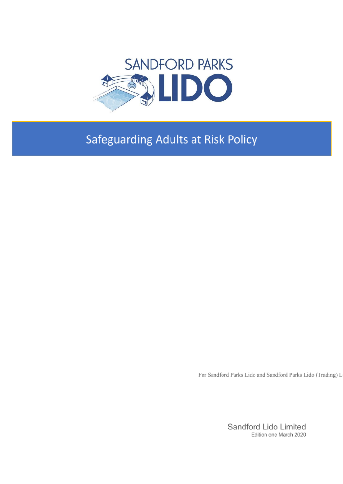

# **Safeguarding Adults at Risk Policy**

For Sandford Parks Lido and Sandford Parks Lido (Trading) L

Sandford Lido Limited Edition one March 2020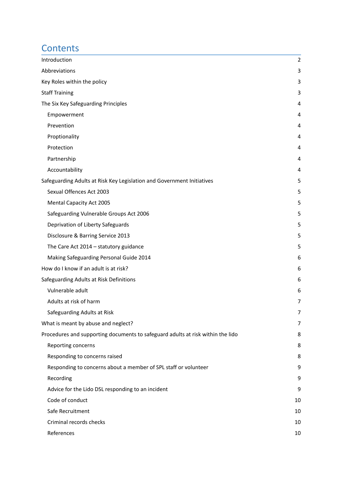# **Contents**

| Introduction                                                                    | 2  |
|---------------------------------------------------------------------------------|----|
| Abbreviations                                                                   | 3  |
| Key Roles within the policy                                                     | 3  |
| <b>Staff Training</b>                                                           | 3  |
| The Six Key Safeguarding Principles                                             | 4  |
| Empowerment                                                                     | 4  |
| Prevention                                                                      | 4  |
| Proptionality                                                                   | 4  |
| Protection                                                                      | 4  |
| Partnership                                                                     | 4  |
| Accountability                                                                  | 4  |
| Safeguarding Adults at Risk Key Legislation and Government Initiatives          | 5  |
| Sexual Offences Act 2003                                                        | 5  |
| Mental Capacity Act 2005                                                        | 5  |
| Safeguarding Vulnerable Groups Act 2006                                         | 5  |
| Deprivation of Liberty Safeguards                                               | 5  |
| Disclosure & Barring Service 2013                                               | 5  |
| The Care Act $2014 -$ statutory guidance                                        | 5  |
| Making Safeguarding Personal Guide 2014                                         | 6  |
| How do I know if an adult is at risk?                                           | 6  |
| Safeguarding Adults at Risk Definitions                                         | 6  |
| Vulnerable adult                                                                | 6  |
| Adults at risk of harm                                                          | 7  |
| Safeguarding Adults at Risk                                                     | 7  |
| What is meant by abuse and neglect?                                             | 7  |
| Procedures and supporting documents to safeguard adults at risk within the lido | 8  |
| Reporting concerns                                                              | 8  |
| Responding to concerns raised                                                   | 8  |
| Responding to concerns about a member of SPL staff or volunteer                 | 9  |
| Recording                                                                       | 9  |
| Advice for the Lido DSL responding to an incident                               | 9  |
| Code of conduct                                                                 | 10 |
| Safe Recruitment                                                                | 10 |
| Criminal records checks                                                         | 10 |
| References                                                                      | 10 |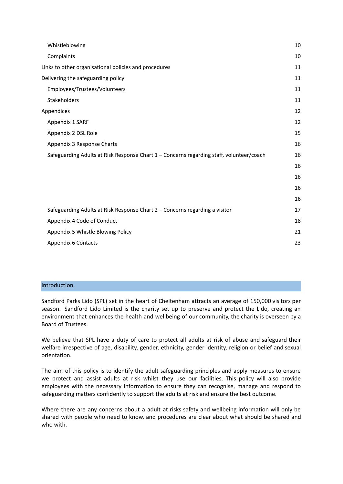| Whistleblowing                                                                           | 10 |
|------------------------------------------------------------------------------------------|----|
| Complaints                                                                               | 10 |
| Links to other organisational policies and procedures                                    | 11 |
| Delivering the safeguarding policy                                                       | 11 |
| Employees/Trustees/Volunteers                                                            | 11 |
| Stakeholders                                                                             | 11 |
| Appendices                                                                               | 12 |
| Appendix 1 SARF                                                                          | 12 |
| Appendix 2 DSL Role                                                                      | 15 |
| Appendix 3 Response Charts                                                               | 16 |
| Safeguarding Adults at Risk Response Chart 1 - Concerns regarding staff, volunteer/coach | 16 |
|                                                                                          | 16 |
|                                                                                          | 16 |
|                                                                                          | 16 |
|                                                                                          | 16 |
| Safeguarding Adults at Risk Response Chart 2 - Concerns regarding a visitor              | 17 |
| Appendix 4 Code of Conduct                                                               | 18 |
| Appendix 5 Whistle Blowing Policy                                                        | 21 |
| Appendix 6 Contacts                                                                      | 23 |

## <span id="page-2-0"></span>Introduction

Sandford Parks Lido (SPL) set in the heart of Cheltenham attracts an average of 150,000 visitors per season. Sandford Lido Limited is the charity set up to preserve and protect the Lido, creating an environment that enhances the health and wellbeing of our community, the charity is overseen by a Board of Trustees.

We believe that SPL have a duty of care to protect all adults at risk of abuse and safeguard their welfare irrespective of age, disability, gender, ethnicity, gender identity, religion or belief and sexual orientation.

The aim of this policy is to identify the adult safeguarding principles and apply measures to ensure we protect and assist adults at risk whilst they use our facilities. This policy will also provide employees with the necessary information to ensure they can recognise, manage and respond to safeguarding matters confidently to support the adults at risk and ensure the best outcome.

Where there are any concerns about a adult at risks safety and wellbeing information will only be shared with people who need to know, and procedures are clear about what should be shared and who with.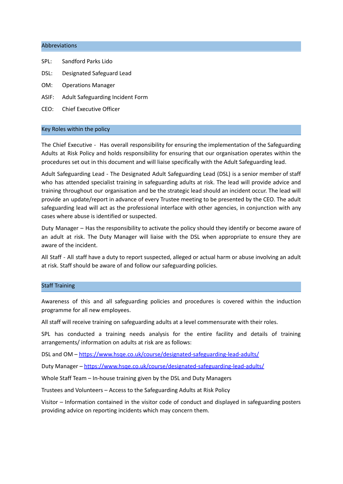#### <span id="page-3-0"></span>Abbreviations

- SPL: Sandford Parks Lido
- DSL: Designated Safeguard Lead
- OM: Operations Manager
- ASIF: Adult Safeguarding Incident Form
- CEO: Chief Executive Officer

#### <span id="page-3-1"></span>Key Roles within the policy

The Chief Executive - Has overall responsibility for ensuring the implementation of the Safeguarding Adults at Risk Policy and holds responsibility for ensuring that our organisation operates within the procedures set out in this document and will liaise specifically with the Adult Safeguarding lead.

Adult Safeguarding Lead - The Designated Adult Safeguarding Lead (DSL) is a senior member of staff who has attended specialist training in safeguarding adults at risk. The lead will provide advice and training throughout our organisation and be the strategic lead should an incident occur. The lead will provide an update/report in advance of every Trustee meeting to be presented by the CEO. The adult safeguarding lead will act as the professional interface with other agencies, in conjunction with any cases where abuse is identified or suspected.

Duty Manager – Has the responsibility to activate the policy should they identify or become aware of an adult at risk. The Duty Manager will liaise with the DSL when appropriate to ensure they are aware of the incident.

All Staff - All staff have a duty to report suspected, alleged or actual harm or abuse involving an adult at risk. Staff should be aware of and follow our safeguarding policies.

#### <span id="page-3-2"></span>Staff Training

Awareness of this and all safeguarding policies and procedures is covered within the induction programme for all new employees.

All staff will receive training on safeguarding adults at a level commensurate with their roles.

SPL has conducted a training needs analysis for the entire facility and details of training arrangements/ information on adults at risk are as follows:

DSL and OM – <https://www.hsqe.co.uk/course/designated-safeguarding-lead-adults/>

Duty Manager – <https://www.hsqe.co.uk/course/designated-safeguarding-lead-adults/>

Whole Staff Team – In-house training given by the DSL and Duty Managers

Trustees and Volunteers – Access to the Safeguarding Adults at Risk Policy

Visitor – Information contained in the visitor code of conduct and displayed in safeguarding posters providing advice on reporting incidents which may concern them.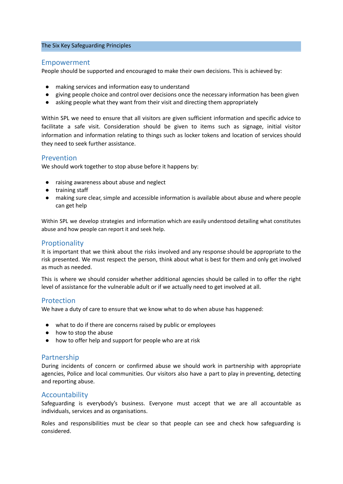#### <span id="page-4-0"></span>The Six Key Safeguarding Principles

## <span id="page-4-1"></span>Empowerment

People should be supported and encouraged to make their own decisions. This is achieved by:

- making services and information easy to understand
- giving people choice and control over decisions once the necessary information has been given
- asking people what they want from their visit and directing them appropriately

Within SPL we need to ensure that all visitors are given sufficient information and specific advice to facilitate a safe visit. Consideration should be given to items such as signage, initial visitor information and information relating to things such as locker tokens and location of services should they need to seek further assistance.

## <span id="page-4-2"></span>Prevention

We should work together to stop abuse before it happens by:

- raising awareness about abuse and neglect
- training staff
- making sure clear, simple and accessible information is available about abuse and where people can get help

Within SPL we develop strategies and information which are easily understood detailing what constitutes abuse and how people can report it and seek help.

## <span id="page-4-3"></span>**Proptionality**

It is important that we think about the risks involved and any response should be appropriate to the risk presented. We must respect the person, think about what is best for them and only get involved as much as needed.

This is where we should consider whether additional agencies should be called in to offer the right level of assistance for the vulnerable adult or if we actually need to get involved at all.

## <span id="page-4-4"></span>Protection

We have a duty of care to ensure that we know what to do when abuse has happened:

- what to do if there are concerns raised by public or employees
- how to stop the abuse
- how to offer help and support for people who are at risk

## <span id="page-4-5"></span>Partnership

During incidents of concern or confirmed abuse we should work in partnership with appropriate agencies, Police and local communities. Our visitors also have a part to play in preventing, detecting and reporting abuse.

## <span id="page-4-6"></span>Accountability

Safeguarding is everybody's business. Everyone must accept that we are all accountable as individuals, services and as organisations.

Roles and responsibilities must be clear so that people can see and check how safeguarding is considered.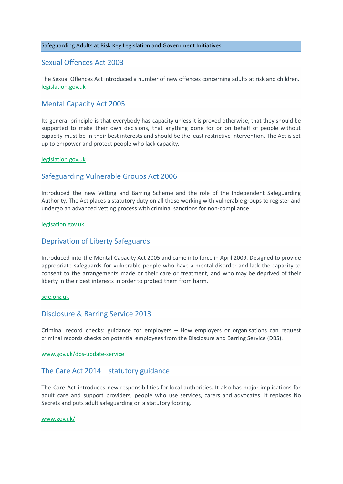#### <span id="page-5-0"></span>Safeguarding Adults at Risk Key Legislation and Government Initiatives

## <span id="page-5-1"></span>Sexual Offences Act 2003

The Sexual Offences Act introduced a number of new offences concerning adults at risk and children. [legislation.gov.uk](http://www.legislation.gov.uk/ukpga/2003/42/pdfs/ukpga_20030042_en.pdf)

## <span id="page-5-2"></span>Mental Capacity Act 2005

Its general principle is that everybody has capacity unless it is proved otherwise, that they should be supported to make their own decisions, that anything done for or on behalf of people without capacity must be in their best interests and should be the least restrictive intervention. The Act is set up to empower and protect people who lack capacity.

#### [legislation.gov.uk](http://www.legislation.gov.uk/ukpga/2005/9/pdfs/ukpga_20050009_en.pdf)

## <span id="page-5-3"></span>Safeguarding Vulnerable Groups Act 2006

Introduced the new Vetting and Barring Scheme and the role of the Independent Safeguarding Authority. The Act places a statutory duty on all those working with vulnerable groups to register and undergo an advanced vetting process with criminal sanctions for non-compliance.

#### [legisation.gov.uk](http://www.legislation.gov.uk/ukpga/2006/47/pdfs/ukpga_20060047_en.pdf)

## <span id="page-5-4"></span>Deprivation of Liberty Safeguards

Introduced into the Mental Capacity Act 2005 and came into force in April 2009. Designed to provide appropriate safeguards for vulnerable people who have a mental disorder and lack the capacity to consent to the arrangements made or their care or treatment, and who may be deprived of their liberty in their best interests in order to protect them from harm.

#### [scie.org.uk](https://www.ageuk.org.uk/globalassets/age-uk/documents/factsheets/fs62_deprivation_of_liberty_safeguards_fcs.pdf)

## <span id="page-5-5"></span>Disclosure & Barring Service 2013

Criminal record checks: guidance for employers – How employers or organisations can request criminal records checks on potential employees from the Disclosure and Barring Service (DBS).

#### [www.gov.uk/dbs-update-service](http://www.gov.uk/dbs-update-service)

## <span id="page-5-6"></span>The Care Act 2014 – statutory guidance

The Care Act introduces new responsibilities for local authorities. It also has major implications for adult care and support providers, people who use services, carers and advocates. It replaces No Secrets and puts adult safeguarding on a statutory footing.

#### [www.gov.uk/](https://www.gov.uk/government/publications/care-act-statutory-guidance/care-and-support-statutory-guidance)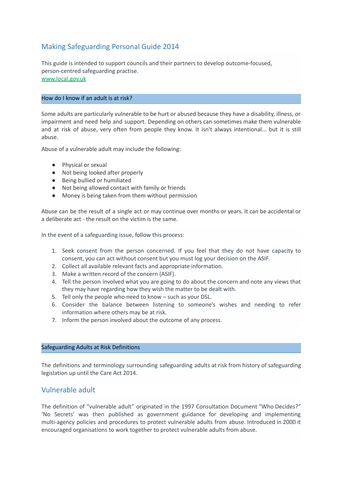# <span id="page-6-0"></span>Making Safeguarding Personal Guide 2014

This guide is intended to support councils and their partners to develop outcome-focused, person-centred safeguarding practise. [www.local.gov.uk](https://www.local.gov.uk/sites/default/files/documents/Making%20Safeguarding%20Personal%20-%20Guide%202014.pdf)

## <span id="page-6-1"></span>How do I know if an adult is at risk?

Some adults are particularly vulnerable to be hurt or abused because they have a disability, illness, or impairment and need help and support. Depending on others can sometimes make them vulnerable and at risk of abuse, very often from people they know. It isn't always intentional... but it is still abuse.

Abuse of a vulnerable adult may include the following:

- Physical or sexual
- Not being looked after properly
- Being bullied or humiliated
- Not being allowed contact with family or friends
- Money is being taken from them without permission

Abuse can be the result of a single act or may continue over months or years. It can be accidental or a deliberate act - the result on the victim is the same.

In the event of a safeguarding issue, follow this process:

- 1. Seek consent from the person concerned. If you feel that they do not have capacity to consent, you can act without consent but you must log your decision on the ASIF.
- 2. Collect all available relevant facts and appropriate information.
- 3. Make a written record of the concern (ASIF).
- 4. Tell the person involved what you are going to do about the concern and note any views that they may have regarding how they wish the matter to be dealt with.
- 5. Tell only the people who need to know such as your DSL.
- 6. Consider the balance between listening to someone's wishes and needing to refer information where others may be at risk.
- 7. Inform the person involved about the outcome of any process.

#### <span id="page-6-2"></span>Safeguarding Adults at Risk Definitions

The definitions and terminology surrounding safeguarding adults at risk from history of safeguarding legislation up until the Care Act 2014.

## <span id="page-6-3"></span>Vulnerable adult

The definition of "vulnerable adult" originated in the 1997 Consultation Document "Who Decides?" 'No Secrets' was then published as government guidance for developing and implementing multi-agency policies and procedures to protect vulnerable adults from abuse. Introduced in 2000 it encouraged organisations to work together to protect vulnerable adults from abuse.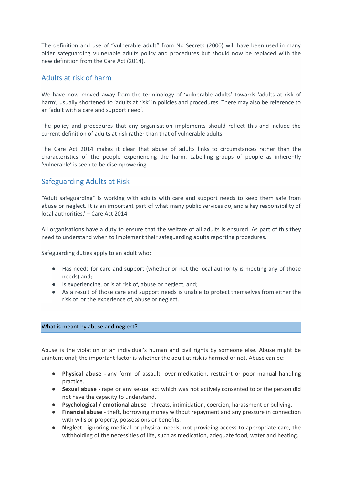The definition and use of "vulnerable adult" from No Secrets (2000) will have been used in many older safeguarding vulnerable adults policy and procedures but should now be replaced with the new definition from the Care Act (2014).

## <span id="page-7-0"></span>Adults at risk of harm

We have now moved away from the terminology of 'vulnerable adults' towards 'adults at risk of harm', usually shortened to 'adults at risk' in policies and procedures. There may also be reference to an 'adult with a care and support need'.

The policy and procedures that any organisation implements should reflect this and include the current definition of adults at risk rather than that of vulnerable adults.

The Care Act 2014 makes it clear that abuse of adults links to circumstances rather than the characteristics of the people experiencing the harm. Labelling groups of people as inherently 'vulnerable' is seen to be disempowering.

## <span id="page-7-1"></span>Safeguarding Adults at Risk

"Adult safeguarding" is working with adults with care and support needs to keep them safe from abuse or neglect. It is an important part of what many public services do, and a key responsibility of local authorities.' – Care Act 2014

All organisations have a duty to ensure that the welfare of all adults is ensured. As part of this they need to understand when to implement their safeguarding adults reporting procedures.

Safeguarding duties apply to an adult who:

- Has needs for care and support (whether or not the local authority is meeting any of those needs) and;
- Is experiencing, or is at risk of, abuse or neglect; and;
- As a result of those care and support needs is unable to protect themselves from either the risk of, or the experience of, abuse or neglect.

#### <span id="page-7-2"></span>What is meant by abuse and neglect?

Abuse is the violation of an individual's human and civil rights by someone else. Abuse might be unintentional; the important factor is whether the adult at risk is harmed or not. Abuse can be:

- **Physical abuse -** any form of assault, over-medication, restraint or poor manual handling practice.
- **Sexual abuse -** rape or any sexual act which was not actively consented to or the person did not have the capacity to understand.
- **Psychological / emotional abuse** threats, intimidation, coercion, harassment or bullying.
- **Financial abuse** theft, borrowing money without repayment and any pressure in connection with wills or property, possessions or benefits.
- **Neglect** ignoring medical or physical needs, not providing access to appropriate care, the withholding of the necessities of life, such as medication, adequate food, water and heating.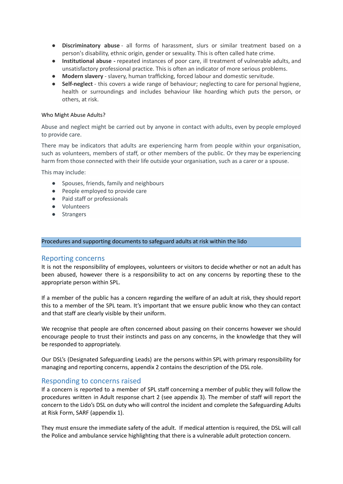- **Discriminatory abuse** all forms of harassment, slurs or similar treatment based on a person's disability, ethnic origin, gender or sexuality. This is often called hate crime.
- **Institutional abuse -** repeated instances of poor care, ill treatment of vulnerable adults, and unsatisfactory professional practice. This is often an indicator of more serious problems.
- **Modern slavery** slavery, human trafficking, forced labour and domestic servitude.
- **Self-neglect** this covers a wide range of behaviour; neglecting to care for personal hygiene, health or surroundings and includes behaviour like hoarding which puts the person, or others, at risk.

#### Who Might Abuse Adults?

Abuse and neglect might be carried out by anyone in contact with adults, even by people employed to provide care.

There may be indicators that adults are experiencing harm from people within your organisation, such as volunteers, members of staff, or other members of the public. Or they may be experiencing harm from those connected with their life outside your organisation, such as a carer or a spouse.

This may include:

- Spouses, friends, family and neighbours
- People employed to provide care
- Paid staff or professionals
- Volunteers
- Strangers

#### <span id="page-8-0"></span>Procedures and supporting documents to safeguard adults at risk within the lido

## <span id="page-8-1"></span>Reporting concerns

It is not the responsibility of employees, volunteers or visitors to decide whether or not an adult has been abused, however there is a responsibility to act on any concerns by reporting these to the appropriate person within SPL.

If a member of the public has a concern regarding the welfare of an adult at risk, they should report this to a member of the SPL team. It's important that we ensure public know who they can contact and that staff are clearly visible by their uniform.

We recognise that people are often concerned about passing on their concerns however we should encourage people to trust their instincts and pass on any concerns, in the knowledge that they will be responded to appropriately.

Our DSL's (Designated Safeguarding Leads) are the persons within SPL with primary responsibility for managing and reporting concerns, appendix 2 contains the description of the DSL role.

## <span id="page-8-2"></span>Responding to concerns raised

If a concern is reported to a member of SPL staff concerning a member of public they will follow the procedures written in Adult response chart 2 (see appendix 3). The member of staff will report the concern to the Lido's DSL on duty who will control the incident and complete the Safeguarding Adults at Risk Form, SARF (appendix 1).

They must ensure the immediate safety of the adult. If medical attention is required, the DSL will call the Police and ambulance service highlighting that there is a vulnerable adult protection concern.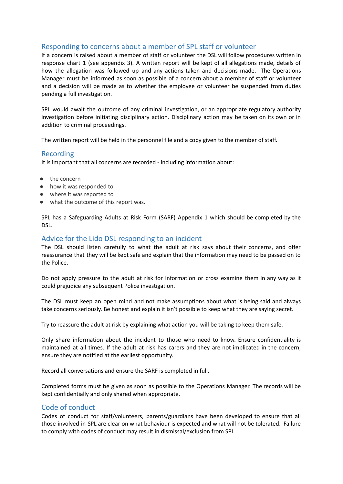## <span id="page-9-0"></span>Responding to concerns about a member of SPL staff or volunteer

If a concern is raised about a member of staff or volunteer the DSL will follow procedures written in response chart 1 (see appendix 3). A written report will be kept of all allegations made, details of how the allegation was followed up and any actions taken and decisions made. The Operations Manager must be informed as soon as possible of a concern about a member of staff or volunteer and a decision will be made as to whether the employee or volunteer be suspended from duties pending a full investigation.

SPL would await the outcome of any criminal investigation, or an appropriate regulatory authority investigation before initiating disciplinary action. Disciplinary action may be taken on its own or in addition to criminal proceedings.

<span id="page-9-1"></span>The written report will be held in the personnel file and a copy given to the member of staff.

## Recording

It is important that all concerns are recorded - including information about:

- the concern
- how it was responded to
- where it was reported to
- what the outcome of this report was.

SPL has a Safeguarding Adults at Risk Form (SARF) Appendix 1 which should be completed by the DSL.

## <span id="page-9-2"></span>Advice for the Lido DSL responding to an incident

The DSL should listen carefully to what the adult at risk says about their concerns, and offer reassurance that they will be kept safe and explain that the information may need to be passed on to the Police.

Do not apply pressure to the adult at risk for information or cross examine them in any way as it could prejudice any subsequent Police investigation.

The DSL must keep an open mind and not make assumptions about what is being said and always take concerns seriously. Be honest and explain it isn't possible to keep what they are saying secret.

Try to reassure the adult at risk by explaining what action you will be taking to keep them safe.

Only share information about the incident to those who need to know. Ensure confidentiality is maintained at all times. If the adult at risk has carers and they are not implicated in the concern, ensure they are notified at the earliest opportunity.

Record all conversations and ensure the SARF is completed in full.

Completed forms must be given as soon as possible to the Operations Manager. The records will be kept confidentially and only shared when appropriate.

# <span id="page-9-3"></span>Code of conduct

Codes of conduct for staff/volunteers, parents/guardians have been developed to ensure that all those involved in SPL are clear on what behaviour is expected and what will not be tolerated. Failure to comply with codes of conduct may result in dismissal/exclusion from SPL.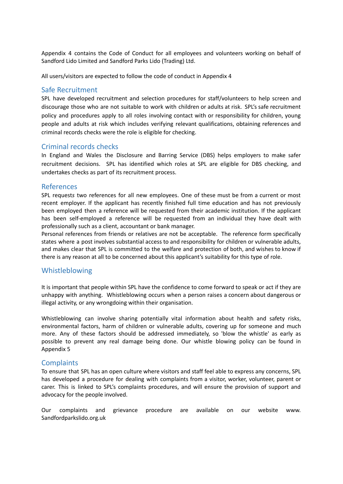Appendix 4 contains the Code of Conduct for all employees and volunteers working on behalf of Sandford Lido Limited and Sandford Parks Lido (Trading) Ltd.

All users/visitors are expected to follow the code of conduct in Appendix 4

## <span id="page-10-0"></span>Safe Recruitment

SPL have developed recruitment and selection procedures for staff/volunteers to help screen and discourage those who are not suitable to work with children or adults at risk. SPL's safe recruitment policy and procedures apply to all roles involving contact with or responsibility for children, young people and adults at risk which includes verifying relevant qualifications, obtaining references and criminal records checks were the role is eligible for checking.

## <span id="page-10-1"></span>Criminal records checks

In England and Wales the [Disclosure](https://www.gov.uk/government/organisations/disclosure-and-barring-service) and Barring Service (DBS) helps employers to make safer recruitment decisions. SPL has identified which roles at SPL are eligible for DBS checking, and undertakes checks as part of its recruitment process.

## <span id="page-10-2"></span>References

SPL request*s* two references for all new employees. One of these must be from a current or most recent employer. If the applicant has recently finished full time education and has not previously been employed then a reference will be requested from their academic institution. If the applicant has been self-employed a reference will be requested from an individual they have dealt with professionally such as a client, accountant or bank manager.

Personal references from friends or relatives are not be acceptable. The reference form specifically states where a post involves substantial access to and responsibility for children or vulnerable adults, and makes clear that SPL is committed to the welfare and protection of both, and wishes to know if there is any reason at all to be concerned about this applicant's suitability for this type of role.

## <span id="page-10-3"></span>Whistleblowing

It is important that people within SPL have the confidence to come forward to speak or act if they are unhappy with anything. Whistleblowing occurs when a person raises a concern about dangerous or illegal activity, or any wrongdoing within their organisation.

Whistleblowing can involve sharing potentially vital information about health and safety risks, environmental factors, harm of children or vulnerable adults, covering up for someone and much more. Any of these factors should be addressed immediately, so 'blow the whistle' as early as possible to prevent any real damage being done. Our whistle blowing policy can be found in Appendix 5

## <span id="page-10-4"></span>**Complaints**

To ensure that SPL has an open culture where visitors and staff feel able to express any concerns, SPL has developed a procedure for dealing with complaints from a visitor, worker, volunteer, parent or carer. This is linked to SPL's complaints procedures, and will ensure the provision of support and advocacy for the people involved.

Our complaints and grievance procedure are available on our website www. Sandfordparkslido.org.uk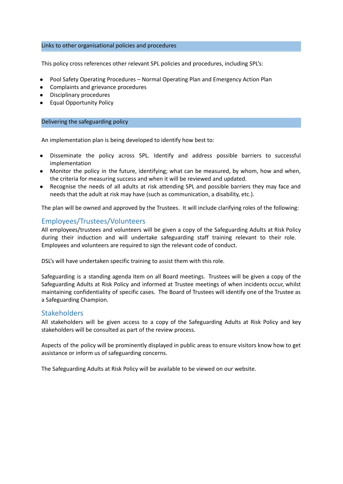#### <span id="page-11-0"></span>Links to other organisational policies and procedures

This policy cross references other relevant SPL policies and procedures, including SPL's:

- Pool Safety Operating Procedures Normal Operating Plan and Emergency Action Plan
- Complaints and grievance procedures
- **Disciplinary procedures**
- <span id="page-11-1"></span>**●** Equal Opportunity Policy

#### Delivering the safeguarding policy

An implementation plan is being developed to identify how best to:

- Disseminate the policy across SPL. Identify and address possible barriers to successful implementation
- Monitor the policy in the future, identifying; what can be measured, by whom, how and when, the criteria for measuring success and when it will be reviewed and updated.
- Recognise the needs of all adults at risk attending SPL and possible barriers they may face and needs that the adult at risk may have (such as communication, a disability, etc.).

The plan will be owned and approved by the Trustees. It will include clarifying roles of the following:

## <span id="page-11-2"></span>Employees/Trustees/Volunteers

All employees/trustees and volunteers will be given a copy of the Safeguarding Adults at Risk Policy during their induction and will undertake safeguarding staff training relevant to their role. Employees and volunteers are required to sign the relevant code of conduct.

DSL's will have undertaken specific training to assist them with this role.

Safeguarding is a standing agenda item on all Board meetings. Trustees will be given a copy of the Safeguarding Adults at Risk Policy and informed at Trustee meetings of when incidents occur, whilst maintaining confidentiality of specific cases. The Board of Trustees will identify one of the Trustee as a Safeguarding Champion.

## <span id="page-11-3"></span>**Stakeholders**

All stakeholders will be given access to a copy of the Safeguarding Adults at Risk Policy and key stakeholders will be consulted as part of the review process.

Aspects of the policy will be prominently displayed in public areas to ensure visitors know how to get assistance or inform us of safeguarding concerns.

The Safeguarding Adults at Risk Policy will be available to be viewed on our website.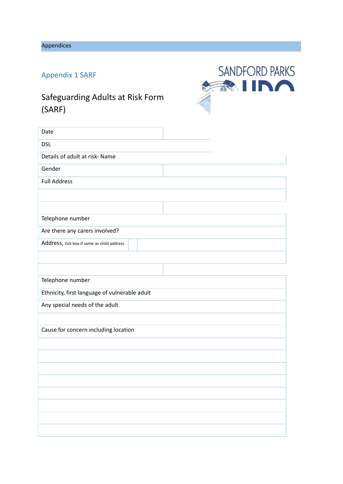<span id="page-12-0"></span>Appendices

# <span id="page-12-1"></span>Appendix 1 SARF

# Safeguarding Adults at Risk Form (SARF)



| Date                                          |  |
|-----------------------------------------------|--|
| <b>DSL</b>                                    |  |
| Details of adult at risk- Name                |  |
| Gender                                        |  |
| <b>Full Address</b>                           |  |
|                                               |  |
|                                               |  |
| Telephone number                              |  |
| Are there any carers involved?                |  |
| Address, tick box if same as child address    |  |
|                                               |  |
|                                               |  |
| Telephone number                              |  |
| Ethnicity, first language of vulnerable adult |  |
| Any special needs of the adult                |  |
|                                               |  |
| Cause for concern including location          |  |
|                                               |  |
|                                               |  |
|                                               |  |
|                                               |  |
|                                               |  |
|                                               |  |
|                                               |  |
|                                               |  |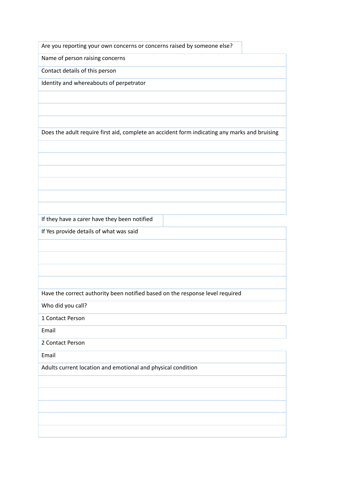Are you reporting your own concerns or concerns raised by someone else?

Name of person raising concerns

Contact details of this person

Identity and whereabouts of perpetrator

Does the adult require first aid, complete an accident form indicating any marks and bruising

If they have a carer have they been notified

If Yes provide details of what was said

Have the correct authority been notified based on the response level required

Who did you call?

1 Contact Person

Email

2 Contact Person

Email

Adults current location and emotional and physical condition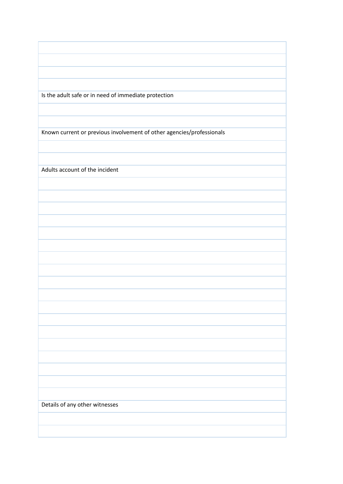Is the adult safe or in need of immediate protection

Known current or previous involvement of other agencies/professionals

Adults account of the incident

Details of any other witnesses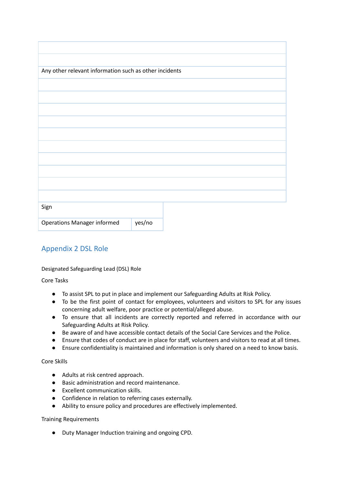| Any other relevant information such as other incidents |        |  |  |  |  |  |  |
|--------------------------------------------------------|--------|--|--|--|--|--|--|
|                                                        |        |  |  |  |  |  |  |
|                                                        |        |  |  |  |  |  |  |
|                                                        |        |  |  |  |  |  |  |
|                                                        |        |  |  |  |  |  |  |
|                                                        |        |  |  |  |  |  |  |
|                                                        |        |  |  |  |  |  |  |
|                                                        |        |  |  |  |  |  |  |
|                                                        |        |  |  |  |  |  |  |
|                                                        |        |  |  |  |  |  |  |
|                                                        |        |  |  |  |  |  |  |
|                                                        |        |  |  |  |  |  |  |
|                                                        |        |  |  |  |  |  |  |
|                                                        |        |  |  |  |  |  |  |
| Sign                                                   |        |  |  |  |  |  |  |
| <b>Operations Manager informed</b>                     | yes/no |  |  |  |  |  |  |

# <span id="page-15-0"></span>Appendix 2 DSL Role

## Designated Safeguarding Lead (DSL) Role

Core Tasks

- To assist SPL to put in place and implement our Safeguarding Adults at Risk Policy.
- To be the first point of contact for employees, volunteers and visitors to SPL for any issues concerning adult welfare, poor practice or potential/alleged abuse.
- To ensure that all incidents are correctly reported and referred in accordance with our Safeguarding Adults at Risk Policy.
- Be aware of and have accessible contact details of the Social Care Services and the Police.
- Ensure that codes of conduct are in place for staff, volunteers and visitors to read at all times.
- Ensure confidentiality is maintained and information is only shared on a need to know basis.

## Core Skills

- Adults at risk centred approach.
- Basic administration and record maintenance.
- Excellent communication skills.
- Confidence in relation to referring cases externally.
- Ability to ensure policy and procedures are effectively implemented.

## Training Requirements

● Duty Manager Induction training and ongoing CPD.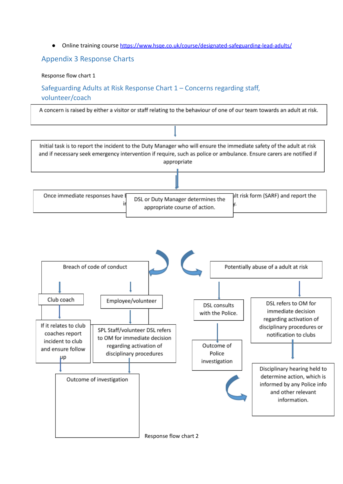Online training course <https://www.hsqe.co.uk/course/designated-safeguarding-lead-adults/>

## <span id="page-16-0"></span>Appendix 3 Response Charts

## Response flow chart 1

<span id="page-16-1"></span>Safeguarding Adults at Risk Response Chart 1 – Concerns regarding staff, volunteer/coach

<span id="page-16-2"></span>A concern is raised by either a visitor or staff relating to the behaviour of one of our team towards an adult at risk.

<span id="page-16-3"></span>

<span id="page-16-5"></span><span id="page-16-4"></span>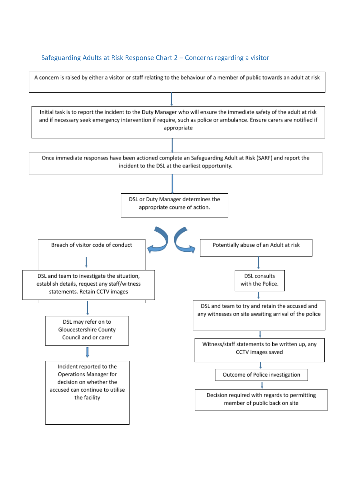# <span id="page-17-0"></span>Safeguarding Adults at Risk Response Chart 2 – Concerns regarding a visitor

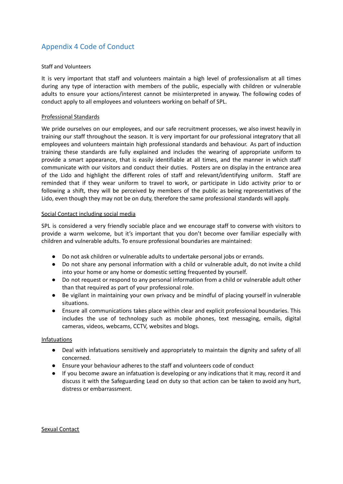# <span id="page-18-0"></span>Appendix 4 Code of Conduct

## Staff and Volunteers

It is very important that staff and volunteers maintain a high level of professionalism at all times during any type of interaction with members of the public, especially with children or vulnerable adults to ensure your actions/interest cannot be misinterpreted in anyway. The following codes of conduct apply to all employees and volunteers working on behalf of SPL.

## Professional Standards

We pride ourselves on our employees, and our safe recruitment processes, we also invest heavily in training our staff throughout the season. It is very important for our professional integratory that all employees and volunteers maintain high professional standards and behaviour. As part of induction training these standards are fully explained and includes the wearing of appropriate uniform to provide a smart appearance, that is easily identifiable at all times, and the manner in which staff communicate with our visitors and conduct their duties. Posters are on display in the entrance area of the Lido and highlight the different roles of staff and relevant/identifying uniform. Staff are reminded that if they wear uniform to travel to work, or participate in Lido activity prior to or following a shift, they will be perceived by members of the public as being representatives of the Lido, even though they may not be on duty, therefore the same professional standards will apply.

## Social Contact including social media

SPL is considered a very friendly sociable place and we encourage staff to converse with visitors to provide a warm welcome, but it's important that you don't become over familiar especially with children and vulnerable adults. To ensure professional boundaries are maintained:

- *●* Do not ask children or vulnerable adults to undertake personal jobs or errands.
- *●* Do not share any personal information with a child or vulnerable adult, do not invite a child into your home or any home or domestic setting frequented by yourself.
- *●* Do not request or respond to any personal information from a child or vulnerable adult other than that required as part of your professional role.
- *●* Be vigilant in maintaining your own privacy and be mindful of placing yourself in vulnerable situations.
- *●* Ensure all communications takes place within clear and explicit professional boundaries. This includes the use of technology such as mobile phones, text messaging, emails, digital cameras, videos, webcams, CCTV, websites and blogs.

## Infatuations

- *●* Deal with infatuations sensitively and appropriately to maintain the dignity and safety of all concerned.
- *●* Ensure your behaviour adheres to the staff and volunteers code of conduct
- *●* If you become aware an infatuation is developing or any indications that it may, record it and discuss it with the Safeguarding Lead on duty so that action can be taken to avoid any hurt, distress or embarrassment.

## Sexual Contact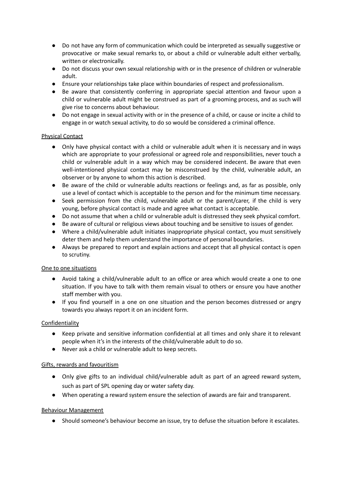- *●* Do not have any form of communication which could be interpreted as sexually suggestive or provocative or make sexual remarks to, or about a child or vulnerable adult either verbally, written or electronically.
- *●* Do not discuss your own sexual relationship with or in the presence of children or vulnerable adult.
- *●* Ensure your relationships take place within boundaries of respect and professionalism.
- *●* Be aware that consistently conferring in appropriate special attention and favour upon a child or vulnerable adult might be construed as part of a grooming process, and as such will give rise to concerns about behaviour.
- *●* Do not engage in sexual activity with or in the presence of a child, or cause or incite a child to engage in or watch sexual activity, to do so would be considered a criminal offence.

## Physical Contact

- *●* Only have physical contact with a child or vulnerable adult when it is necessary and in ways which are appropriate to your professional or agreed role and responsibilities, never touch a child or vulnerable adult in a way which may be considered indecent. Be aware that even well-intentioned physical contact may be misconstrued by the child, vulnerable adult, an observer or by anyone to whom this action is described.
- *●* Be aware of the child or vulnerable adults reactions or feelings and, as far as possible, only use a level of contact which is acceptable to the person and for the minimum time necessary.
- *●* Seek permission from the child, vulnerable adult or the parent/carer, if the child is very young, before physical contact is made and agree what contact is acceptable.
- Do not assume that when a child or vulnerable adult is distressed they seek physical comfort.
- *●* Be aware of cultural or religious views about touching and be sensitive to issues of gender.
- *●* Where a child/vulnerable adult initiates inappropriate physical contact, you must sensitively deter them and help them understand the importance of personal boundaries.
- *●* Always be prepared to report and explain actions and accept that all physical contact is open to scrutiny.

## One to one situations

- *●* Avoid taking a child/vulnerable adult to an office or area which would create a one to one situation. If you have to talk with them remain visual to others or ensure you have another staff member with you.
- *●* If you find yourself in a one on one situation and the person becomes distressed or angry towards you always report it on an incident form.

## **Confidentiality**

- *●* Keep private and sensitive information confidential at all times and only share it to relevant people when it's in the interests of the child/vulnerable adult to do so.
- *●* Never ask a child or vulnerable adult to keep secrets.

## Gifts, rewards and favouritism

- *●* Only give gifts to an individual child/vulnerable adult as part of an agreed reward system, such as part of SPL opening day or water safety day.
- *●* When operating a reward system ensure the selection of awards are fair and transparent.

## Behaviour Management

*●* Should someone's behaviour become an issue, try to defuse the situation before it escalates.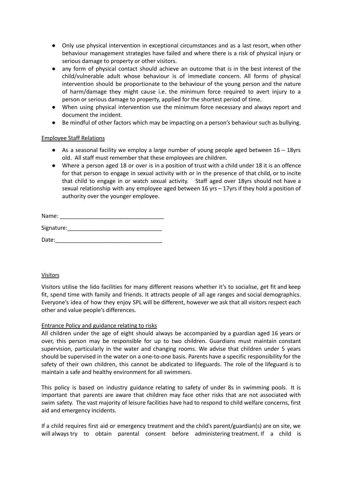- *●* Only use physical intervention in exceptional circumstances and as a last resort, when other behaviour management strategies have failed and where there is a risk of physical injury or serious damage to property or other visitors.
- *●* any form of physical contact should achieve an outcome that is in the best interest of the child/vulnerable adult whose behaviour is of immediate concern. All forms of physical intervention should be proportionate to the behaviour of the young person and the nature of harm/damage they might cause i.e. the minimum force required to avert injury to a person or serious damage to property, applied for the shortest period of time.
- *●* When using physical intervention use the minimum force necessary and always report and document the incident.
- *●* Be mindful of other factors which may be impacting on a person's behaviour such as bullying.

## Employee Staff Relations

- *●* As a seasonal facility we employ a large number of young people aged between 16 18yrs old. All staff must remember that these employees are children.
- *●* Where a person aged 18 or over is in a position of trust with a child under 18 it is an offence for that person to engage in sexual activity with or in the presence of that child, or to incite that child to engage in or watch sexual activity. Staff aged over 18yrs should not have a sexual relationship with any employee aged between 16 yrs – 17yrs if they hold a position of authority over the younger employee.

| Name:      |  |
|------------|--|
| Signature: |  |
| Date:      |  |

## Visitors

Visitors utilise the lido facilities for many different reasons whether it's to socialise, get fit and keep fit, spend time with family and friends. It attracts people of all age ranges and social demographics. Everyone's idea of how they enjoy SPL will be different, however we ask that all visitors respect each other and value people's differences.

## Entrance Policy and guidance relating to risks

All children under the age of eight should always be accompanied by a guardian aged 16 years or over, this person may be responsible for up to two children. Guardians must maintain constant supervision, particularly in the water and changing rooms. We advise that children under 5 years should be supervised in the water on a one-to-one basis. Parents have a specific responsibility for the safety of their own children, this cannot be abdicated to lifeguards. The role of the lifeguard is to maintain a safe and healthy environment for all swimmers.

This policy is based on industry guidance relating to safety of under 8s in swimming pools. It is important that parents are aware that children may face other risks that are not associated with swim safety. The vast majority of leisure facilities have had to respond to child welfare concerns, first aid and emergency incidents.

If a child requires first aid or emergency treatment and the child's parent/guardian(s) are on site, we will always try to obtain parental consent before administering treatment. If a child is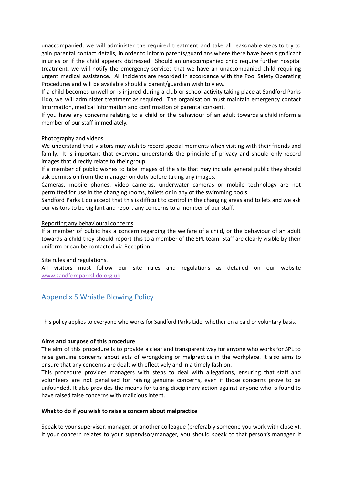unaccompanied, we will administer the required treatment and take all reasonable steps to try to gain parental contact details, in order to inform parents/guardians where there have been significant injuries or if the child appears distressed. Should an unaccompanied child require further hospital treatment, we will notify the emergency services that we have an unaccompanied child requiring urgent medical assistance. All incidents are recorded in accordance with the Pool Safety Operating Procedures and will be available should a parent/guardian wish to view.

If a child becomes unwell or is injured during a club or school activity taking place at Sandford Parks Lido, we will administer treatment as required. The organisation must maintain emergency contact information, medical information and confirmation of parental consent.

If you have any concerns relating to a child or the behaviour of an adult towards a child inform a member of our staff immediately.

#### Photography and videos

We understand that visitors may wish to record special moments when visiting with their friends and family. It is important that everyone understands the principle of privacy and should only record images that directly relate to their group.

If a member of public wishes to take images of the site that may include general public they should ask permission from the manager on duty before taking any images.

Cameras, mobile phones, video cameras, underwater cameras or mobile technology are not permitted for use in the changing rooms, toilets or in any of the swimming pools.

Sandford Parks Lido accept that this is difficult to control in the changing areas and toilets and we ask our visitors to be vigilant and report any concerns to a member of our staff.

#### Reporting any behavioural concerns

If a member of public has a concern regarding the welfare of a child, or the behaviour of an adult towards a child they should report this to a member of the SPL team. Staff are clearly visible by their uniform or can be contacted via Reception.

#### Site rules and regulations.

All visitors must follow our site rules and regulations as detailed on our website [www.sandfordparkslido.org.uk](http://www.sandfordparkslido.org.uk)

# <span id="page-21-0"></span>Appendix 5 Whistle Blowing Policy

This policy applies to everyone who works for Sandford Parks Lido, whether on a paid or voluntary basis.

#### **Aims and purpose of this procedure**

The aim of this procedure is to provide a clear and transparent way for anyone who works for SPL to raise genuine concerns about acts of wrongdoing or malpractice in the workplace. It also aims to ensure that any concerns are dealt with effectively and in a timely fashion.

This procedure provides managers with steps to deal with allegations, ensuring that staff and volunteers are not penalised for raising genuine concerns, even if those concerns prove to be unfounded. It also provides the means for taking disciplinary action against anyone who is found to have raised false concerns with malicious intent.

#### **What to do if you wish to raise a concern about malpractice**

Speak to your supervisor, manager, or another colleague (preferably someone you work with closely). If your concern relates to your supervisor/manager, you should speak to that person's manager. If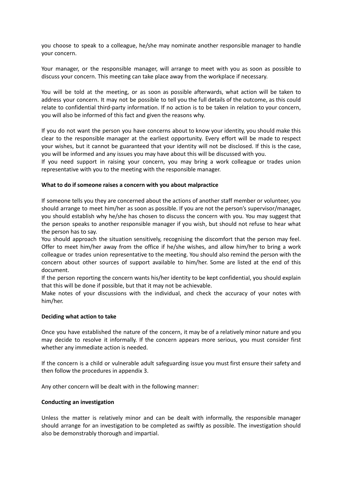you choose to speak to a colleague, he/she may nominate another responsible manager to handle your concern.

Your manager, or the responsible manager, will arrange to meet with you as soon as possible to discuss your concern. This meeting can take place away from the workplace if necessary.

You will be told at the meeting, or as soon as possible afterwards, what action will be taken to address your concern. It may not be possible to tell you the full details of the outcome, as this could relate to confidential third-party information. If no action is to be taken in relation to your concern, you will also be informed of this fact and given the reasons why.

If you do not want the person you have concerns about to know your identity, you should make this clear to the responsible manager at the earliest opportunity. Every effort will be made to respect your wishes, but it cannot be guaranteed that your identity will not be disclosed. If this is the case, you will be informed and any issues you may have about this will be discussed with you.

If you need support in raising your concern, you may bring a work colleague or trades union representative with you to the meeting with the responsible manager.

#### **What to do if someone raises a concern with you about malpractice**

If someone tells you they are concerned about the actions of another staff member or volunteer, you should arrange to meet him/her as soon as possible. If you are not the person's supervisor/manager, you should establish why he/she has chosen to discuss the concern with you. You may suggest that the person speaks to another responsible manager if you wish, but should not refuse to hear what the person has to say.

You should approach the situation sensitively, recognising the discomfort that the person may feel. Offer to meet him/her away from the office if he/she wishes, and allow him/her to bring a work colleague or trades union representative to the meeting. You should also remind the person with the concern about other sources of support available to him/her. Some are listed at the end of this document.

If the person reporting the concern wants his/her identity to be kept confidential, you should explain that this will be done if possible, but that it may not be achievable.

Make notes of your discussions with the individual, and check the accuracy of your notes with him/her.

#### **Deciding what action to take**

Once you have established the nature of the concern, it may be of a relatively minor nature and you may decide to resolve it informally. If the concern appears more serious, you must consider first whether any immediate action is needed.

If the concern is a child or vulnerable adult safeguarding issue you must first ensure their safety and then follow the procedures in appendix 3.

Any other concern will be dealt with in the following manner:

#### **Conducting an investigation**

Unless the matter is relatively minor and can be dealt with informally, the responsible manager should arrange for an investigation to be completed as swiftly as possible. The investigation should also be demonstrably thorough and impartial.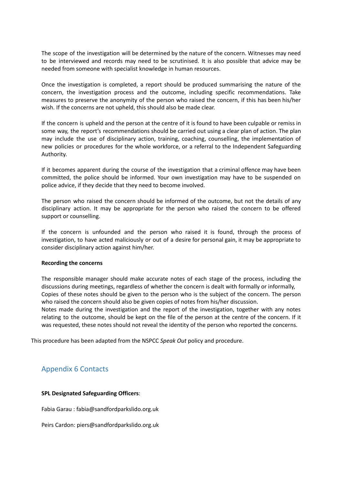The scope of the investigation will be determined by the nature of the concern. Witnesses may need to be interviewed and records may need to be scrutinised. It is also possible that advice may be needed from someone with specialist knowledge in human resources.

Once the investigation is completed, a report should be produced summarising the nature of the concern, the investigation process and the outcome, including specific recommendations. Take measures to preserve the anonymity of the person who raised the concern, if this has been his/her wish. If the concerns are not upheld, this should also be made clear.

If the concern is upheld and the person at the centre of it is found to have been culpable or remiss in some way, the report's recommendations should be carried out using a clear plan of action. The plan may include the use of disciplinary action, training, coaching, counselling, the implementation of new policies or procedures for the whole workforce, or a referral to the Independent Safeguarding Authority.

If it becomes apparent during the course of the investigation that a criminal offence may have been committed, the police should be informed. Your own investigation may have to be suspended on police advice, if they decide that they need to become involved.

The person who raised the concern should be informed of the outcome, but not the details of any disciplinary action. It may be appropriate for the person who raised the concern to be offered support or counselling.

If the concern is unfounded and the person who raised it is found, through the process of investigation, to have acted maliciously or out of a desire for personal gain, it may be appropriate to consider disciplinary action against him/her.

#### **Recording the concerns**

The responsible manager should make accurate notes of each stage of the process, including the discussions during meetings, regardless of whether the concern is dealt with formally or informally, Copies of these notes should be given to the person who is the subject of the concern. The person who raised the concern should also be given copies of notes from his/her discussion. Notes made during the investigation and the report of the investigation, together with any notes

relating to the outcome, should be kept on the file of the person at the centre of the concern. If it was requested, these notes should not reveal the identity of the person who reported the concerns.

This procedure has been adapted from the NSPCC *Speak Out* policy and procedure.

# <span id="page-23-0"></span>Appendix 6 Contacts

## **SPL Designated Safeguarding Officers**:

Fabia Garau : fabia@sandfordparkslido.org.uk

Peirs Cardon: piers@sandfordparkslido.org.uk